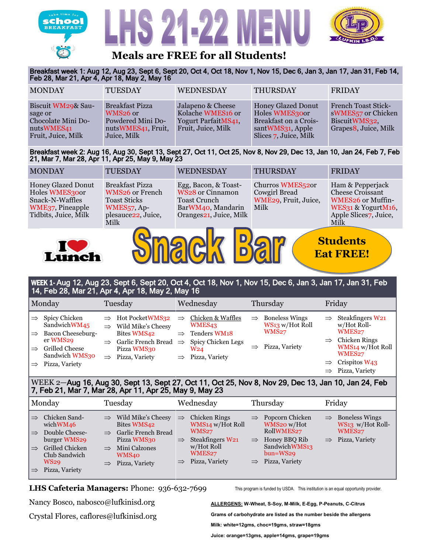





## **Meals are FREE for all Students!**

Breakfast week 1: Aug 12, Aug 23, Sept 6, Sept 20, Oct 4, Oct 18, Nov 1, Nov 15, Dec 6, Jan 3, Jan 17, Jan 31, Feb 14, Feb 28, Mar 21, Apr 4, Apr 18, May 2, May 16

| <b>MONDAY</b>                                                                           | <b>TUESDAY</b>                                                                                           | <b>WEDNESDAY</b>                                                                    | <b>THURSDAY</b>                                                                                                   | <b>FRIDAY</b>                                                                                                      |
|-----------------------------------------------------------------------------------------|----------------------------------------------------------------------------------------------------------|-------------------------------------------------------------------------------------|-------------------------------------------------------------------------------------------------------------------|--------------------------------------------------------------------------------------------------------------------|
| Biscuit WM29& Sau-<br>sage or<br>Chocolate Mini Do-<br>nutsWMES41<br>Fruit, Juice, Milk | <b>Breakfast Pizza</b><br>WMS <sub>26</sub> or<br>Powdered Mini Do-<br>nutsWMES41, Fruit,<br>Juice, Milk | Jalapeno & Cheese<br>Kolache WMES16 or<br>Yogurt ParfaitMS41,<br>Fruit, Juice, Milk | <b>Honey Glazed Donut</b><br>Holes WMES300r<br>Breakfast on a Crois-<br>santWMS31, Apple<br>Slices 7, Juice, Milk | <b>French Toast Stick-</b><br>sWMES <sub>57</sub> or Chicken<br>BiscuitWMS32,<br>Grapes <sup>8</sup> , Juice, Milk |

Breakfast week 2: Aug 16, Aug 30, Sept 13, Sept 27, Oct 11, Oct 25, Nov 8, Nov 29, Dec 13, Jan 10, Jan 24, Feb 7, Feb 21, Mar 7, Mar 28, Apr 11, Apr 25, May 9, May 23

| <b>MONDAY</b>                                                                                       | <b>TUESDAY</b>                                                                                                                                 | WEDNESDAY                                                                                                      | THURSDAY                                                                       | <b>FRIDAY</b>                                                                                                                 |  |  |  |
|-----------------------------------------------------------------------------------------------------|------------------------------------------------------------------------------------------------------------------------------------------------|----------------------------------------------------------------------------------------------------------------|--------------------------------------------------------------------------------|-------------------------------------------------------------------------------------------------------------------------------|--|--|--|
| Honey Glazed Donut<br>Holes WMES300r<br>Snack-N-Waffles<br>WME37, Pineapple<br>Tidbits, Juice, Milk | <b>Breakfast Pizza</b><br><b>WMS26</b> or French<br><b>Toast Sticks</b><br>WMES <sub>57</sub> , Ap-<br>plesauce <sub>22</sub> , Juice,<br>Milk | Egg, Bacon, & Toast-<br>WS28 or Cinnamon<br><b>Toast Crunch</b><br>BarWM40, Mandarin<br>Oranges21, Juice, Milk | Churros WMES <sub>520</sub> r<br>Cowgirl Bread<br>WME29, Fruit, Juice,<br>Milk | Ham & Pepperjack<br>Cheese Croissant<br>WMES26 or Muffin-<br>WES31 & YogurtM16,<br>Apple Slices <sub>7</sub> , Juice,<br>Milk |  |  |  |
|                                                                                                     |                                                                                                                                                |                                                                                                                |                                                                                |                                                                                                                               |  |  |  |





**Students Eat FREE!**

## WEEK 1- Aug 12, Aug 23, Sept 6, Sept 20, Oct 4, Oct 18, Nov 1, Nov 15, Dec 6, Jan 3, Jan 17, Jan 31, Feb 14, Feb 28, Mar 21, Apr 4, Apr 18, May 2, May 16

|                                | Monday                                              |               | Tuesday                                                                          | Wednesday                                               |               | Thursday                                                 |               | Friday                                                                |
|--------------------------------|-----------------------------------------------------|---------------|----------------------------------------------------------------------------------|---------------------------------------------------------|---------------|----------------------------------------------------------|---------------|-----------------------------------------------------------------------|
| $\Rightarrow$<br>$\Rightarrow$ | Spicy Chicken<br>SandwichWM45<br>Bacon Cheeseburg-  | $\Rightarrow$ | $\Rightarrow$ Hot PocketWMS32<br>Wild Mike's Cheesy<br>Bites WMS42               | Chicken & Waffles<br>WMES43<br>Tenders WM18             | $\Rightarrow$ | <b>Boneless Wings</b><br>WS13 w/Hot Roll<br><b>WMS27</b> | $\Rightarrow$ | Steakfingers W21<br>w/Hot Roll-<br>WMES <sub>27</sub>                 |
| $\Rightarrow$                  | er WMS29<br><b>Grilled Cheese</b><br>Sandwich WMS30 | $\Rightarrow$ | Garlic French Bread $\Rightarrow$<br>Pizza WMS30<br>$\Rightarrow$ Pizza, Variety | Spicy Chicken Legs<br>W <sub>24</sub><br>Pizza, Variety |               | Pizza, Variety                                           |               | $\Rightarrow$ Chicken Rings<br>WMS14 w/Hot Roll<br>WMES <sub>27</sub> |
|                                | Pizza, Variety                                      |               |                                                                                  |                                                         |               |                                                          |               | $\Rightarrow$ Crispitos W43<br>$\Rightarrow$ Pizza, Variety           |

## 7, Feb 21, Mar 7, Mar 28, Apr 11, Apr 25, May 9, May 23 WEEK 2—Aug 16, Aug 30, Sept 13, Sept 27, Oct 11, Oct 25, Nov 8, Nov 29, Dec 13, Jan 10, Jan 24, Feb

| Monday                                                                                                                                                                                                               | Tuesday                                                                                                                                                                                            | Wednesday                                                                                                                                                          | Thursday                                                                                                                                               | Friday                                                                                                    |
|----------------------------------------------------------------------------------------------------------------------------------------------------------------------------------------------------------------------|----------------------------------------------------------------------------------------------------------------------------------------------------------------------------------------------------|--------------------------------------------------------------------------------------------------------------------------------------------------------------------|--------------------------------------------------------------------------------------------------------------------------------------------------------|-----------------------------------------------------------------------------------------------------------|
| Chicken Sand-<br>$\Rightarrow$<br>wichWM46<br>Double Cheese-<br>$\Rightarrow$<br>burger WMS29<br>Grilled Chicken<br>$\Rightarrow$<br>Club Sandwich<br><b>WS29</b><br>Pizza, Variety<br>$\mathrel{\rightrightarrows}$ | Wild Mike's Cheesy<br>$\Rightarrow$<br>Bites WMS42<br><b>Garlic French Bread</b><br>$\Rightarrow$<br>Pizza WMS30<br>Mini Calzones<br>$\Rightarrow$<br><b>WMS40</b><br>$\Rightarrow$ Pizza, Variety | <b>Chicken Rings</b><br>$\Rightarrow$<br>WMS14 w/Hot Roll<br>WMS27<br>Steakfingers W21<br>$\Rightarrow$<br>w/Hot Roll<br>WMES27<br>Pizza, Variety<br>$\Rightarrow$ | $\Rightarrow$ Popcorn Chicken<br>WMS20 w/Hot<br>RollWMES27<br>Honey BBQ Rib<br>$\Rightarrow$<br>SandwichWMS13<br>bun=WS29<br>$\implies$ Pizza, Variety | $\Rightarrow$ Boneless Wings<br>WS13 w/Hot Roll-<br>WMES <sub>27</sub><br>Pizza, Variety<br>$\Rightarrow$ |

#### $\overline{C}$   $\overline{C}$   $\overline{C}$   $\overline{C}$   $\overline{C}$   $\overline{C}$   $\overline{C}$   $\overline{C}$   $\overline{C}$   $\overline{C}$   $\overline{C}$   $\overline{C}$   $\overline{C}$   $\overline{C}$   $\overline{C}$   $\overline{C}$   $\overline{C}$   $\overline{C}$   $\overline{C}$   $\overline{C}$   $\overline{C}$   $\overline{C}$   $\overline{C}$   $\overline{C}$   $\overline{$ **LHS Cafeteria Managers:** Phone: 936-632-7699 This prog

This program is funded by USDA. This institution is an equal opportunity provider.

Orange, 1/2 cup legumes, 1/2 cup **ALLERGENS: W-Wheat, S-Soy, M-Milk, E-Egg, P-Peanuts, C-Citrus** Nancy Bosco, nabosco@lufkinisd.org  $\frac{1}{2}$  cup points.

per day and 5

Choose 2. Crystal Flores, caflores@lufkinisd.org

Starchy, 3/4 cups of the 1.5 cups of the 1.4 cups of the 1.5 cups of the 1.5 cups of the 1.5 cups of the 1.5 cups additional vegetables per week. **Grams of carbohydrate are listed as the number beside the allergens Milk: white=12gms, choc=19gms, straw=18gms Juice: orange=13gms, apple=14gms, grape=19gms**